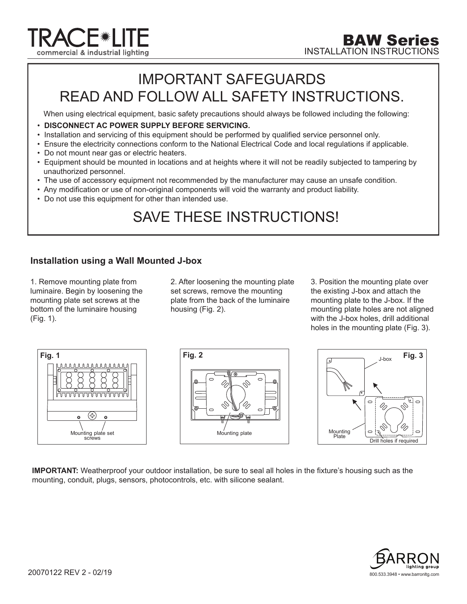

## IMPORTANT SAFEGUARDS READ AND FOLLOW ALL SAFETY INSTRUCTIONS.

When using electrical equipment, basic safety precautions should always be followed including the following:

- **DISCONNECT AC POWER SUPPLY BEFORE SERVICING.**
- Installation and servicing of this equipment should be performed by qualified service personnel only.
- Ensure the electricity connections conform to the National Electrical Code and local regulations if applicable.
- Do not mount near gas or electric heaters.
- Equipment should be mounted in locations and at heights where it will not be readily subjected to tampering by unauthorized personnel.
- The use of accessory equipment not recommended by the manufacturer may cause an unsafe condition.
- Any modification or use of non-original components will void the warranty and product liability.
- Do not use this equipment for other than intended use.

## SAVE THESE INSTRUCTIONS!

## **Installation using a Wall Mounted J-box**

1. Remove mounting plate from luminaire. Begin by loosening the mounting plate set screws at the bottom of the luminaire housing (Fig. 1).

2. After loosening the mounting plate set screws, remove the mounting plate from the back of the luminaire housing (Fig. 2).

3. Position the mounting plate over the existing J-box and attach the mounting plate to the J-box. If the mounting plate holes are not aligned with the J-box holes, drill additional holes in the mounting plate (Fig. 3).



**IMPORTANT:** Weatherproof your outdoor installation, be sure to seal all holes in the fixture's housing such as the mounting, conduit, plugs, sensors, photocontrols, etc. with silicone sealant.

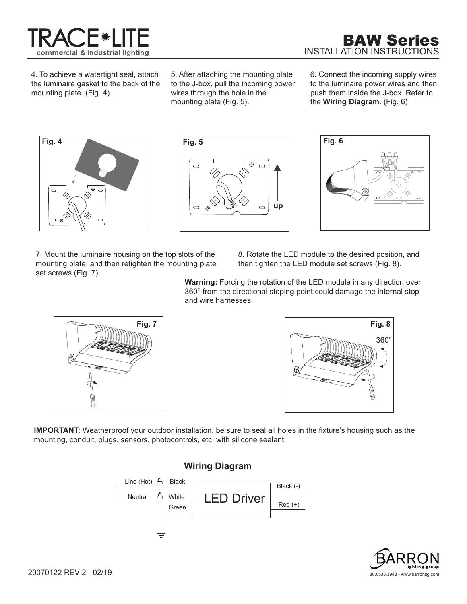

4. To achieve a watertight seal, attach the luminaire gasket to the back of the mounting plate. (Fig. 4).

5. After attaching the mounting plate to the J-box, pull the incoming power wires through the hole in the mounting plate (Fig. 5).

 $^\circledR$ 

**Fig. 5**

 $\bigcirc$ 

 $\bigcirc$  $\circledR$ 

6. Connect the incoming supply wires to the luminaire power wires and then push them inside the J-box. Refer to the **Wiring Diagram**. (Fig. 6)



7. Mount the luminaire housing on the top slots of the mounting plate, and then retighten the mounting plate set screws (Fig. 7).

8. Rotate the LED module to the desired position, and then tighten the LED module set screws (Fig. 8).

**Warning:** Forcing the rotation of the LED module in any direction over 360° from the directional stoping point could damage the internal stop and wire harnesses.

**up**





**IMPORTANT:** Weatherproof your outdoor installation, be sure to seal all holes in the fixture's housing such as the mounting, conduit, plugs, sensors, photocontrols, etc. with silicone sealant.